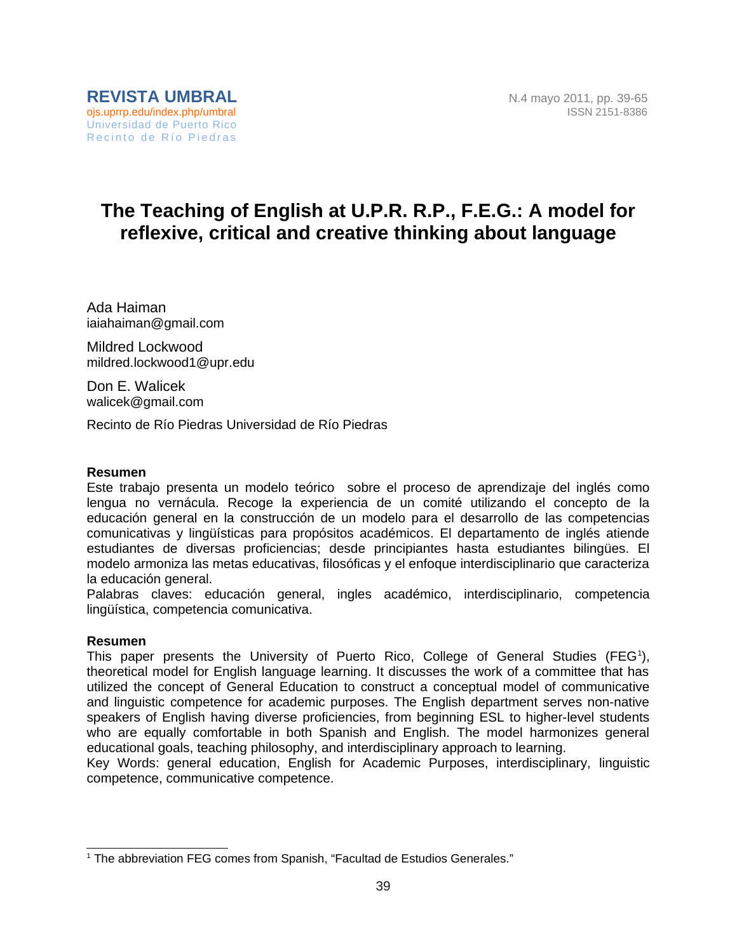# **The Teaching of English at U.P.R. R.P., F.E.G.: A model for reflexive, critical and creative thinking about language**

Ada Haiman iaiahaiman@gmail.com

Mildred Lockwood mildred.lockwood1@upr.edu

Don E. Walicek walicek@gmail.com

Recinto de Río Piedras Universidad de Río Piedras

#### **Resumen**

Este trabajo presenta un modelo teórico sobre el proceso de aprendizaje del inglés como lengua no vernácula. Recoge la experiencia de un comité utilizando el concepto de la educación general en la construcción de un modelo para el desarrollo de las competencias comunicativas y lingüísticas para propósitos académicos. El departamento de inglés atiende estudiantes de diversas proficiencias; desde principiantes hasta estudiantes bilingües. El modelo armoniza las metas educativas, filosóficas y el enfoque interdisciplinario que caracteriza la educación general.

Palabras claves: educación general, ingles académico, interdisciplinario, competencia lingüística, competencia comunicativa.

#### **Resumen**

This paper presents the University of Puerto Rico, College of General Studies (FEG<sup>[1](#page-0-0)</sup>), theoretical model for English language learning. It discusses the work of a committee that has utilized the concept of General Education to construct a conceptual model of communicative and linguistic competence for academic purposes. The English department serves non-native speakers of English having diverse proficiencies, from beginning ESL to higher-level students who are equally comfortable in both Spanish and English. The model harmonizes general educational goals, teaching philosophy, and interdisciplinary approach to learning.

Key Words: general education, English for Academic Purposes, interdisciplinary, linguistic competence, communicative competence.

<span id="page-0-0"></span> $^{\rm 1}$  The abbreviation FEG comes from Spanish, "Facultad de Estudios Generales."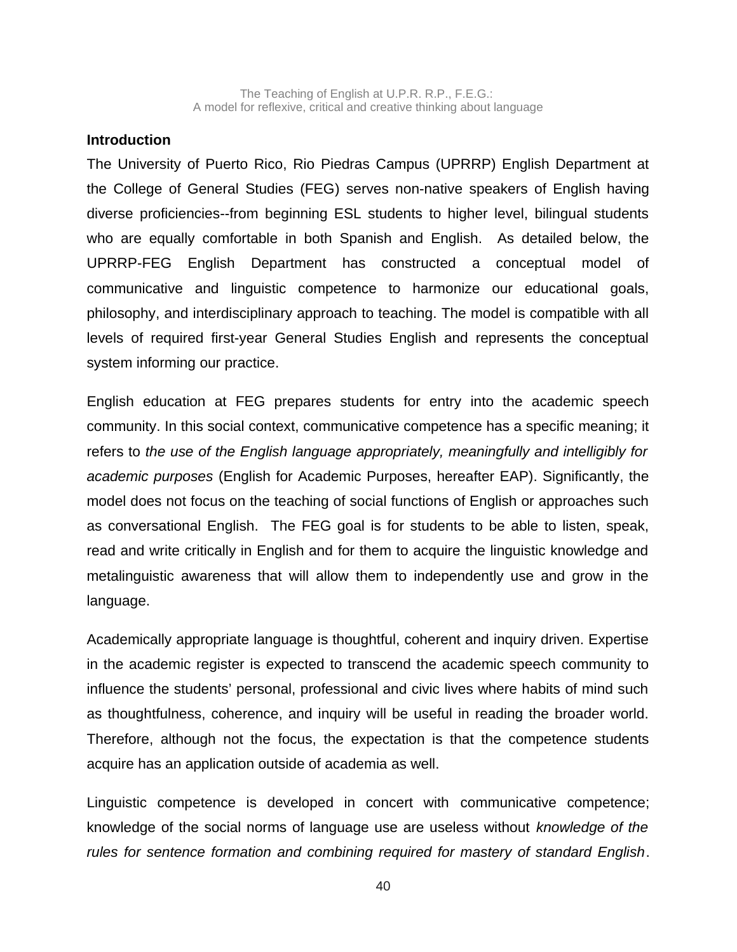### **Introduction**

The University of Puerto Rico, Rio Piedras Campus (UPRRP) English Department at the College of General Studies (FEG) serves non-native speakers of English having diverse proficiencies--from beginning ESL students to higher level, bilingual students who are equally comfortable in both Spanish and English. As detailed below, the UPRRP-FEG English Department has constructed a conceptual model of communicative and linguistic competence to harmonize our educational goals, philosophy, and interdisciplinary approach to teaching. The model is compatible with all levels of required first-year General Studies English and represents the conceptual system informing our practice.

English education at FEG prepares students for entry into the academic speech community. In this social context, communicative competence has a specific meaning; it refers to *the use of the English language appropriately, meaningfully and intelligibly for academic purposes* (English for Academic Purposes, hereafter EAP). Significantly, the model does not focus on the teaching of social functions of English or approaches such as conversational English. The FEG goal is for students to be able to listen, speak, read and write critically in English and for them to acquire the linguistic knowledge and metalinguistic awareness that will allow them to independently use and grow in the language.

Academically appropriate language is thoughtful, coherent and inquiry driven. Expertise in the academic register is expected to transcend the academic speech community to influence the students' personal, professional and civic lives where habits of mind such as thoughtfulness, coherence, and inquiry will be useful in reading the broader world. Therefore, although not the focus, the expectation is that the competence students acquire has an application outside of academia as well.

Linguistic competence is developed in concert with communicative competence; knowledge of the social norms of language use are useless without *knowledge of the rules for sentence formation and combining required for mastery of standard English*.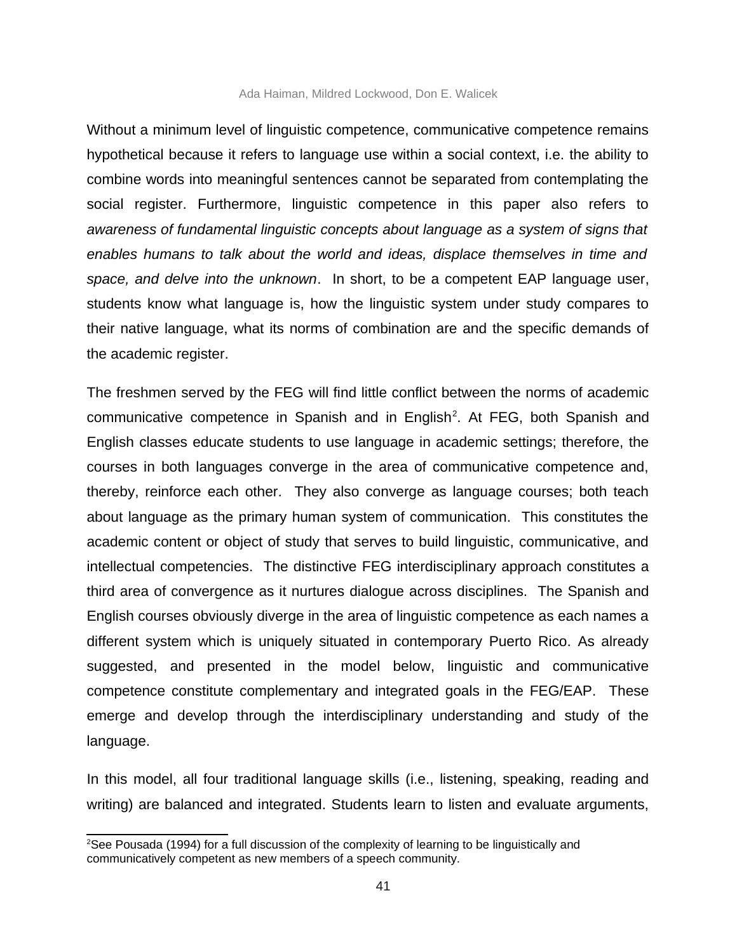#### Ada Haiman, Mildred Lockwood, Don E. Walicek

Without a minimum level of linguistic competence, communicative competence remains hypothetical because it refers to language use within a social context, i.e. the ability to combine words into meaningful sentences cannot be separated from contemplating the social register. Furthermore, linguistic competence in this paper also refers to *awareness of fundamental linguistic concepts about language as a system of signs that enables humans to talk about the world and ideas, displace themselves in time and space, and delve into the unknown*. In short, to be a competent EAP language user, students know what language is, how the linguistic system under study compares to their native language, what its norms of combination are and the specific demands of the academic register.

The freshmen served by the FEG will find little conflict between the norms of academic communicative competence in Spanish and in English<sup>[2](#page-2-0)</sup>. At FEG, both Spanish and English classes educate students to use language in academic settings; therefore, the courses in both languages converge in the area of communicative competence and, thereby, reinforce each other. They also converge as language courses; both teach about language as the primary human system of communication. This constitutes the academic content or object of study that serves to build linguistic, communicative, and intellectual competencies. The distinctive FEG interdisciplinary approach constitutes a third area of convergence as it nurtures dialogue across disciplines. The Spanish and English courses obviously diverge in the area of linguistic competence as each names a different system which is uniquely situated in contemporary Puerto Rico. As already suggested, and presented in the model below, linguistic and communicative competence constitute complementary and integrated goals in the FEG/EAP. These emerge and develop through the interdisciplinary understanding and study of the language.

In this model, all four traditional language skills (i.e., listening, speaking, reading and writing) are balanced and integrated. Students learn to listen and evaluate arguments,

<span id="page-2-0"></span> $2$ See Pousada (1994) for a full discussion of the complexity of learning to be linguistically and communicatively competent as new members of a speech community.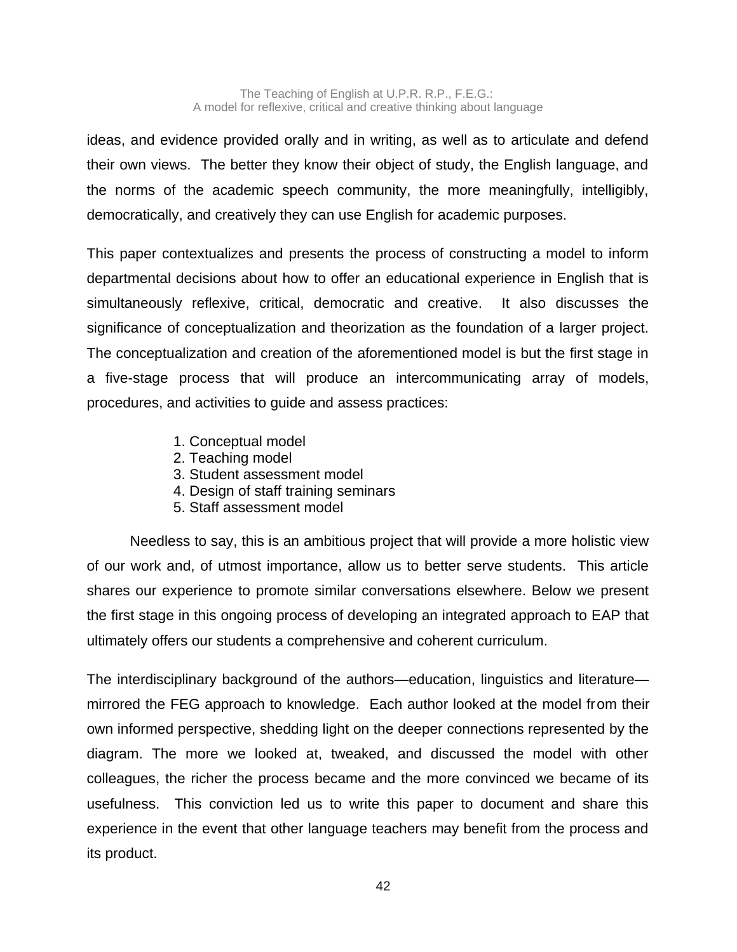ideas, and evidence provided orally and in writing, as well as to articulate and defend their own views. The better they know their object of study, the English language, and the norms of the academic speech community, the more meaningfully, intelligibly, democratically, and creatively they can use English for academic purposes.

This paper contextualizes and presents the process of constructing a model to inform departmental decisions about how to offer an educational experience in English that is simultaneously reflexive, critical, democratic and creative. It also discusses the significance of conceptualization and theorization as the foundation of a larger project. The conceptualization and creation of the aforementioned model is but the first stage in a five-stage process that will produce an intercommunicating array of models, procedures, and activities to guide and assess practices:

- 1. Conceptual model
- 2. Teaching model
- 3. Student assessment model
- 4. Design of staff training seminars
- 5. Staff assessment model

Needless to say, this is an ambitious project that will provide a more holistic view of our work and, of utmost importance, allow us to better serve students. This article shares our experience to promote similar conversations elsewhere. Below we present the first stage in this ongoing process of developing an integrated approach to EAP that ultimately offers our students a comprehensive and coherent curriculum.

The interdisciplinary background of the authors—education, linguistics and literature mirrored the FEG approach to knowledge. Each author looked at the model from their own informed perspective, shedding light on the deeper connections represented by the diagram. The more we looked at, tweaked, and discussed the model with other colleagues, the richer the process became and the more convinced we became of its usefulness. This conviction led us to write this paper to document and share this experience in the event that other language teachers may benefit from the process and its product.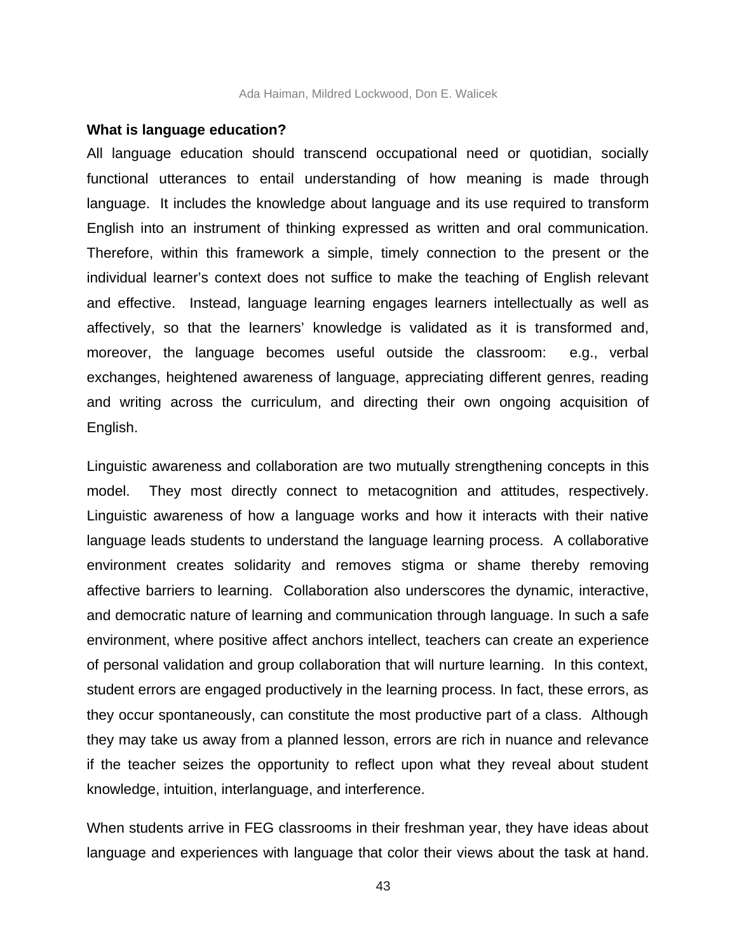#### **What is language education?**

All language education should transcend occupational need or quotidian, socially functional utterances to entail understanding of how meaning is made through language. It includes the knowledge about language and its use required to transform English into an instrument of thinking expressed as written and oral communication. Therefore, within this framework a simple, timely connection to the present or the individual learner's context does not suffice to make the teaching of English relevant and effective. Instead, language learning engages learners intellectually as well as affectively, so that the learners' knowledge is validated as it is transformed and, moreover, the language becomes useful outside the classroom: e.g., verbal exchanges, heightened awareness of language, appreciating different genres, reading and writing across the curriculum, and directing their own ongoing acquisition of English.

Linguistic awareness and collaboration are two mutually strengthening concepts in this model. They most directly connect to metacognition and attitudes, respectively. Linguistic awareness of how a language works and how it interacts with their native language leads students to understand the language learning process. A collaborative environment creates solidarity and removes stigma or shame thereby removing affective barriers to learning. Collaboration also underscores the dynamic, interactive, and democratic nature of learning and communication through language. In such a safe environment, where positive affect anchors intellect, teachers can create an experience of personal validation and group collaboration that will nurture learning. In this context, student errors are engaged productively in the learning process. In fact, these errors, as they occur spontaneously, can constitute the most productive part of a class. Although they may take us away from a planned lesson, errors are rich in nuance and relevance if the teacher seizes the opportunity to reflect upon what they reveal about student knowledge, intuition, interlanguage, and interference.

When students arrive in FEG classrooms in their freshman year, they have ideas about language and experiences with language that color their views about the task at hand.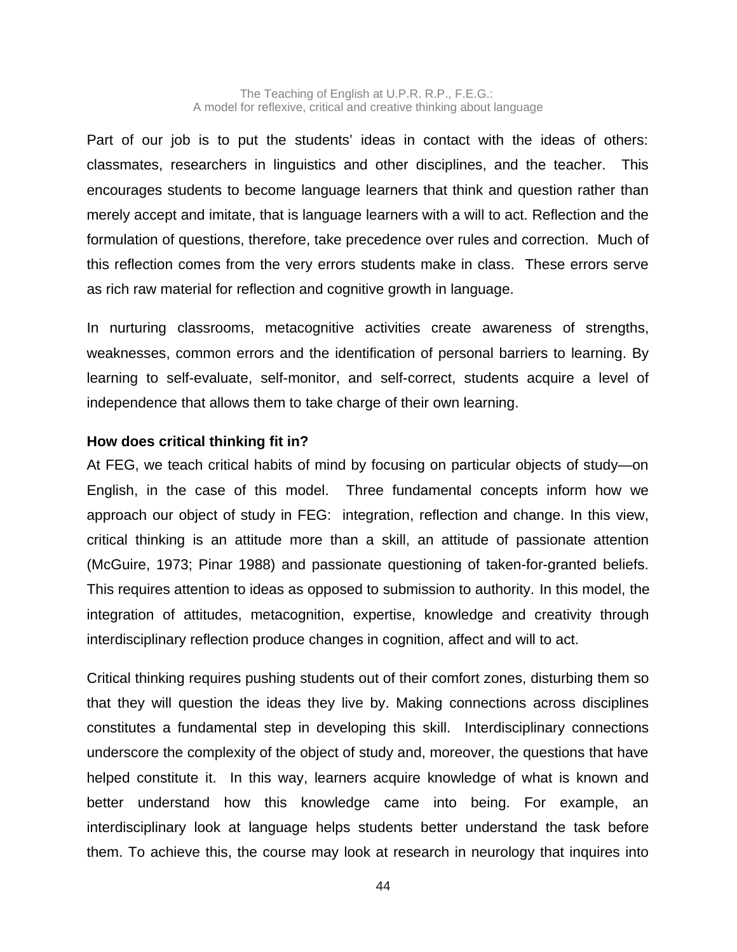Part of our job is to put the students' ideas in contact with the ideas of others: classmates, researchers in linguistics and other disciplines, and the teacher. This encourages students to become language learners that think and question rather than merely accept and imitate, that is language learners with a will to act. Reflection and the formulation of questions, therefore, take precedence over rules and correction. Much of this reflection comes from the very errors students make in class. These errors serve as rich raw material for reflection and cognitive growth in language.

In nurturing classrooms, metacognitive activities create awareness of strengths, weaknesses, common errors and the identification of personal barriers to learning. By learning to self-evaluate, self-monitor, and self-correct, students acquire a level of independence that allows them to take charge of their own learning.

# **How does critical thinking fit in?**

At FEG, we teach critical habits of mind by focusing on particular objects of study—on English, in the case of this model. Three fundamental concepts inform how we approach our object of study in FEG: integration, reflection and change. In this view, critical thinking is an attitude more than a skill, an attitude of passionate attention (McGuire, 1973; Pinar 1988) and passionate questioning of taken-for-granted beliefs. This requires attention to ideas as opposed to submission to authority. In this model, the integration of attitudes, metacognition, expertise, knowledge and creativity through interdisciplinary reflection produce changes in cognition, affect and will to act.

Critical thinking requires pushing students out of their comfort zones, disturbing them so that they will question the ideas they live by. Making connections across disciplines constitutes a fundamental step in developing this skill. Interdisciplinary connections underscore the complexity of the object of study and, moreover, the questions that have helped constitute it. In this way, learners acquire knowledge of what is known and better understand how this knowledge came into being. For example, an interdisciplinary look at language helps students better understand the task before them. To achieve this, the course may look at research in neurology that inquires into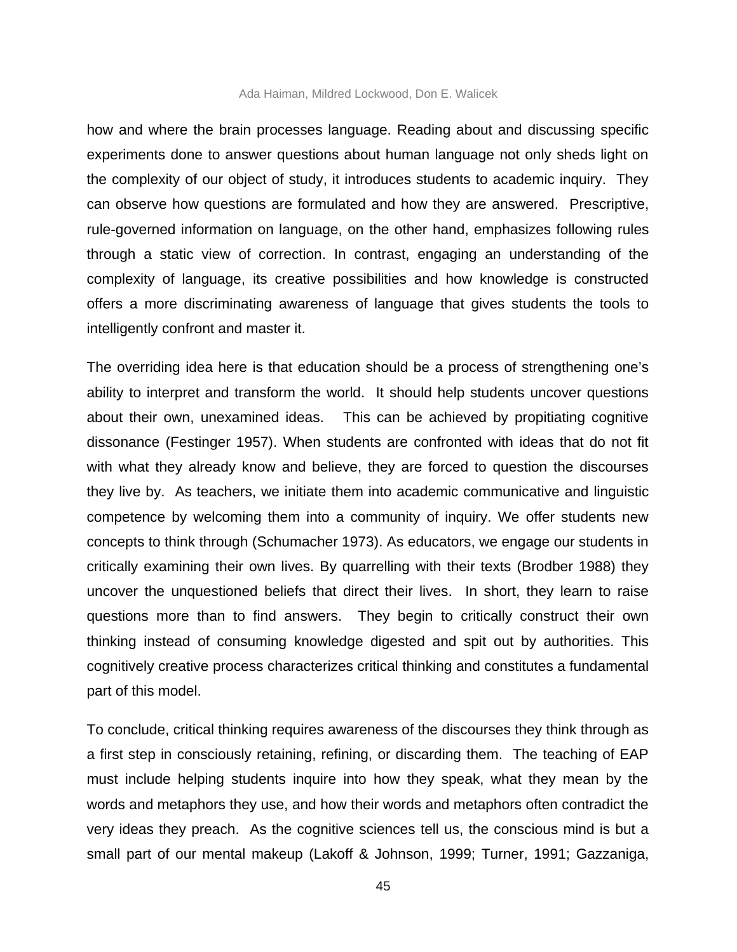#### Ada Haiman, Mildred Lockwood, Don E. Walicek

how and where the brain processes language. Reading about and discussing specific experiments done to answer questions about human language not only sheds light on the complexity of our object of study, it introduces students to academic inquiry. They can observe how questions are formulated and how they are answered. Prescriptive, rule-governed information on language, on the other hand, emphasizes following rules through a static view of correction. In contrast, engaging an understanding of the complexity of language, its creative possibilities and how knowledge is constructed offers a more discriminating awareness of language that gives students the tools to intelligently confront and master it.

The overriding idea here is that education should be a process of strengthening one's ability to interpret and transform the world. It should help students uncover questions about their own, unexamined ideas. This can be achieved by propitiating cognitive dissonance (Festinger 1957). When students are confronted with ideas that do not fit with what they already know and believe, they are forced to question the discourses they live by. As teachers, we initiate them into academic communicative and linguistic competence by welcoming them into a community of inquiry. We offer students new concepts to think through (Schumacher 1973). As educators, we engage our students in critically examining their own lives. By quarrelling with their texts (Brodber 1988) they uncover the unquestioned beliefs that direct their lives. In short, they learn to raise questions more than to find answers. They begin to critically construct their own thinking instead of consuming knowledge digested and spit out by authorities. This cognitively creative process characterizes critical thinking and constitutes a fundamental part of this model.

To conclude, critical thinking requires awareness of the discourses they think through as a first step in consciously retaining, refining, or discarding them. The teaching of EAP must include helping students inquire into how they speak, what they mean by the words and metaphors they use, and how their words and metaphors often contradict the very ideas they preach. As the cognitive sciences tell us, the conscious mind is but a small part of our mental makeup (Lakoff & Johnson, 1999; Turner, 1991; Gazzaniga,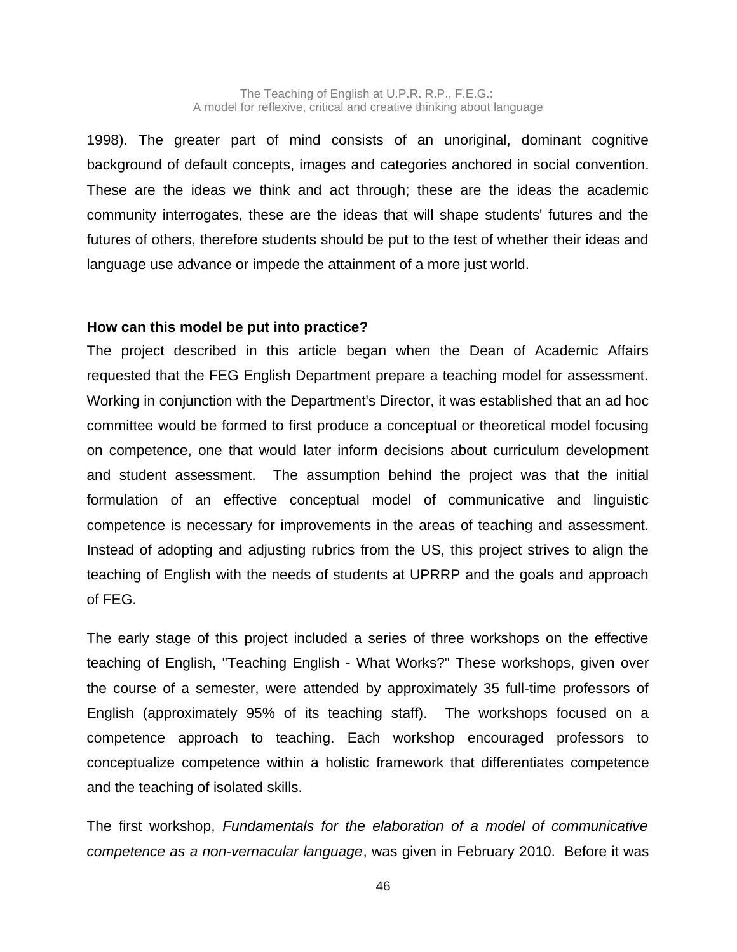1998). The greater part of mind consists of an unoriginal, dominant cognitive background of default concepts, images and categories anchored in social convention. These are the ideas we think and act through; these are the ideas the academic community interrogates, these are the ideas that will shape students' futures and the futures of others, therefore students should be put to the test of whether their ideas and language use advance or impede the attainment of a more just world.

### **How can this model be put into practice?**

The project described in this article began when the Dean of Academic Affairs requested that the FEG English Department prepare a teaching model for assessment. Working in conjunction with the Department's Director, it was established that an ad hoc committee would be formed to first produce a conceptual or theoretical model focusing on competence, one that would later inform decisions about curriculum development and student assessment. The assumption behind the project was that the initial formulation of an effective conceptual model of communicative and linguistic competence is necessary for improvements in the areas of teaching and assessment. Instead of adopting and adjusting rubrics from the US, this project strives to align the teaching of English with the needs of students at UPRRP and the goals and approach of FEG.

The early stage of this project included a series of three workshops on the effective teaching of English, "Teaching English - What Works?" These workshops, given over the course of a semester, were attended by approximately 35 full-time professors of English (approximately 95% of its teaching staff). The workshops focused on a competence approach to teaching. Each workshop encouraged professors to conceptualize competence within a holistic framework that differentiates competence and the teaching of isolated skills.

The first workshop, *Fundamentals for the elaboration of a model of communicative competence as a non-vernacular language*, was given in February 2010. Before it was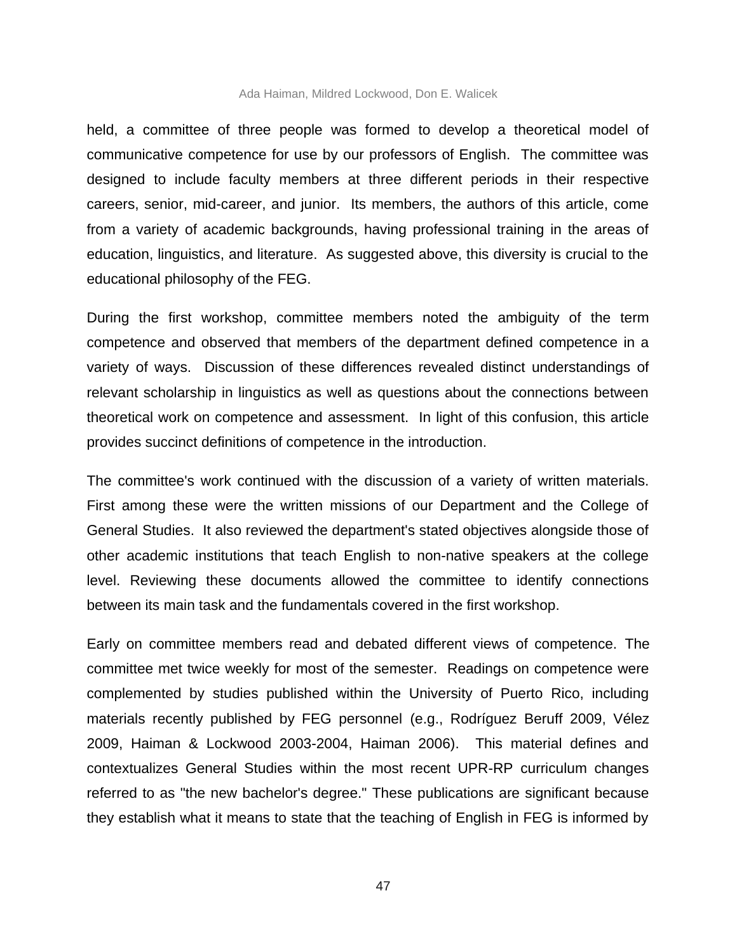#### Ada Haiman, Mildred Lockwood, Don E. Walicek

held, a committee of three people was formed to develop a theoretical model of communicative competence for use by our professors of English. The committee was designed to include faculty members at three different periods in their respective careers, senior, mid-career, and junior. Its members, the authors of this article, come from a variety of academic backgrounds, having professional training in the areas of education, linguistics, and literature. As suggested above, this diversity is crucial to the educational philosophy of the FEG.

During the first workshop, committee members noted the ambiguity of the term competence and observed that members of the department defined competence in a variety of ways. Discussion of these differences revealed distinct understandings of relevant scholarship in linguistics as well as questions about the connections between theoretical work on competence and assessment. In light of this confusion, this article provides succinct definitions of competence in the introduction.

The committee's work continued with the discussion of a variety of written materials. First among these were the written missions of our Department and the College of General Studies. It also reviewed the department's stated objectives alongside those of other academic institutions that teach English to non-native speakers at the college level. Reviewing these documents allowed the committee to identify connections between its main task and the fundamentals covered in the first workshop.

Early on committee members read and debated different views of competence. The committee met twice weekly for most of the semester. Readings on competence were complemented by studies published within the University of Puerto Rico, including materials recently published by FEG personnel (e.g., Rodríguez Beruff 2009, Vélez 2009, Haiman & Lockwood 2003-2004, Haiman 2006). This material defines and contextualizes General Studies within the most recent UPR-RP curriculum changes referred to as "the new bachelor's degree." These publications are significant because they establish what it means to state that the teaching of English in FEG is informed by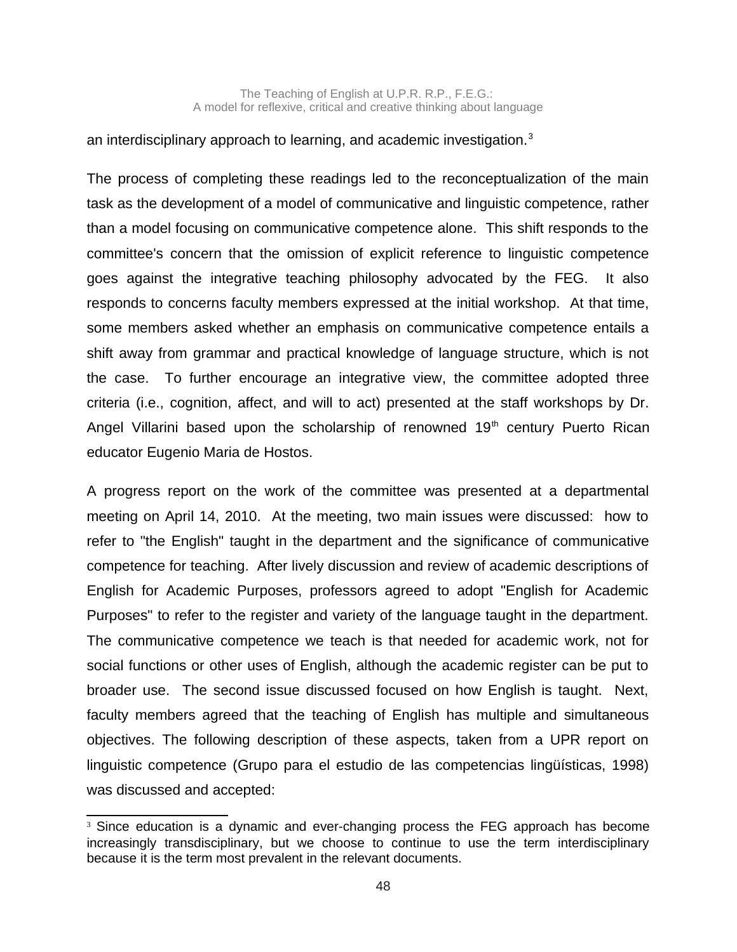### an interdisciplinary approach to learning, and academic investigation.<sup>[3](#page-9-0)</sup>

The process of completing these readings led to the reconceptualization of the main task as the development of a model of communicative and linguistic competence, rather than a model focusing on communicative competence alone. This shift responds to the committee's concern that the omission of explicit reference to linguistic competence goes against the integrative teaching philosophy advocated by the FEG. It also responds to concerns faculty members expressed at the initial workshop. At that time, some members asked whether an emphasis on communicative competence entails a shift away from grammar and practical knowledge of language structure, which is not the case. To further encourage an integrative view, the committee adopted three criteria (i.e., cognition, affect, and will to act) presented at the staff workshops by Dr. Angel Villarini based upon the scholarship of renowned  $19<sup>th</sup>$  century Puerto Rican educator Eugenio Maria de Hostos.

A progress report on the work of the committee was presented at a departmental meeting on April 14, 2010. At the meeting, two main issues were discussed: how to refer to "the English" taught in the department and the significance of communicative competence for teaching. After lively discussion and review of academic descriptions of English for Academic Purposes, professors agreed to adopt "English for Academic Purposes" to refer to the register and variety of the language taught in the department. The communicative competence we teach is that needed for academic work, not for social functions or other uses of English, although the academic register can be put to broader use. The second issue discussed focused on how English is taught. Next, faculty members agreed that the teaching of English has multiple and simultaneous objectives. The following description of these aspects, taken from a UPR report on linguistic competence (Grupo para el estudio de las competencias lingüísticas, 1998) was discussed and accepted:

<span id="page-9-0"></span><sup>&</sup>lt;sup>3</sup> Since education is a dynamic and ever-changing process the FEG approach has become increasingly transdisciplinary, but we choose to continue to use the term interdisciplinary because it is the term most prevalent in the relevant documents.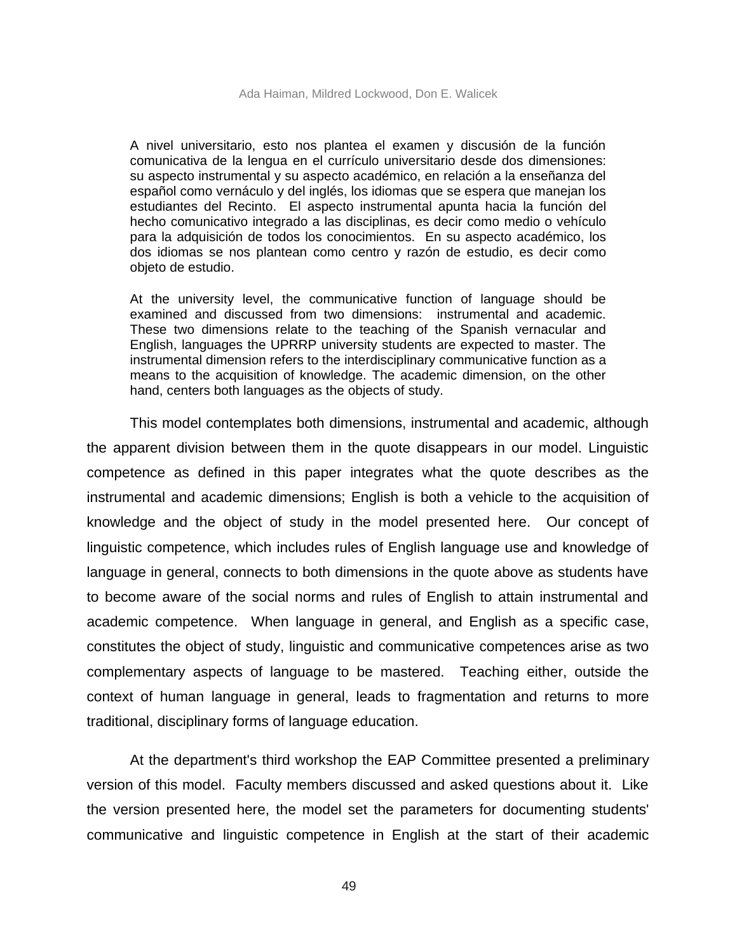A nivel universitario, esto nos plantea el examen y discusión de la función comunicativa de la lengua en el currículo universitario desde dos dimensiones: su aspecto instrumental y su aspecto académico, en relación a la enseñanza del español como vernáculo y del inglés, los idiomas que se espera que manejan los estudiantes del Recinto. El aspecto instrumental apunta hacia la función del hecho comunicativo integrado a las disciplinas, es decir como medio o vehículo para la adquisición de todos los conocimientos. En su aspecto académico, los dos idiomas se nos plantean como centro y razón de estudio, es decir como objeto de estudio.

At the university level, the communicative function of language should be examined and discussed from two dimensions: instrumental and academic. These two dimensions relate to the teaching of the Spanish vernacular and English, languages the UPRRP university students are expected to master. The instrumental dimension refers to the interdisciplinary communicative function as a means to the acquisition of knowledge. The academic dimension, on the other hand, centers both languages as the objects of study.

This model contemplates both dimensions, instrumental and academic, although the apparent division between them in the quote disappears in our model. Linguistic competence as defined in this paper integrates what the quote describes as the instrumental and academic dimensions; English is both a vehicle to the acquisition of knowledge and the object of study in the model presented here. Our concept of linguistic competence, which includes rules of English language use and knowledge of language in general, connects to both dimensions in the quote above as students have to become aware of the social norms and rules of English to attain instrumental and academic competence. When language in general, and English as a specific case, constitutes the object of study, linguistic and communicative competences arise as two complementary aspects of language to be mastered. Teaching either, outside the context of human language in general, leads to fragmentation and returns to more traditional, disciplinary forms of language education.

At the department's third workshop the EAP Committee presented a preliminary version of this model. Faculty members discussed and asked questions about it. Like the version presented here, the model set the parameters for documenting students' communicative and linguistic competence in English at the start of their academic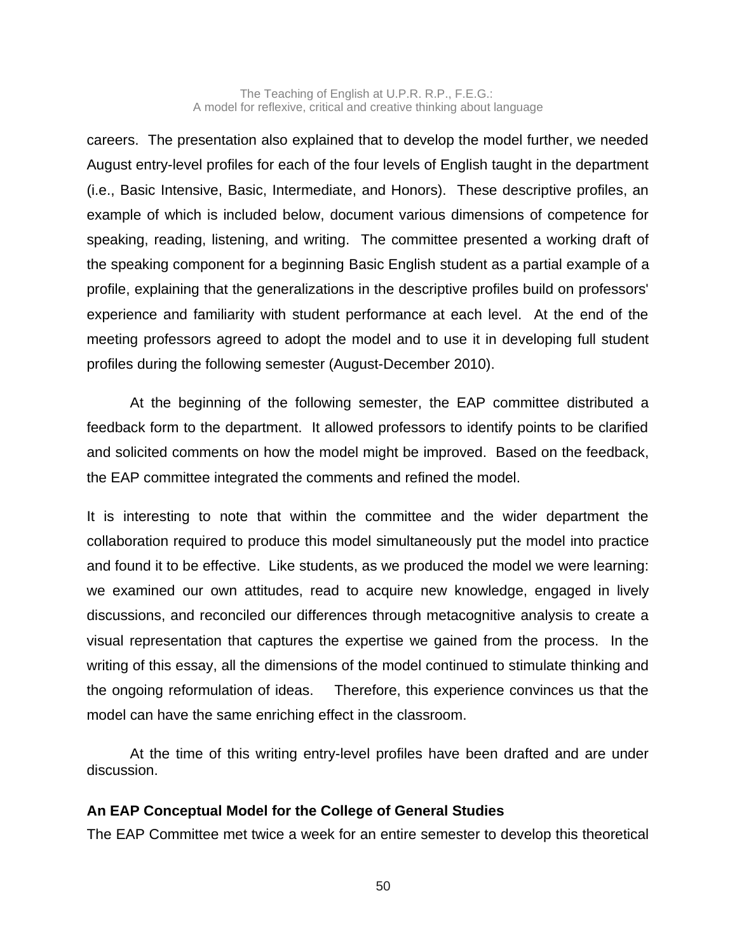careers. The presentation also explained that to develop the model further, we needed August entry-level profiles for each of the four levels of English taught in the department (i.e., Basic Intensive, Basic, Intermediate, and Honors). These descriptive profiles, an example of which is included below, document various dimensions of competence for speaking, reading, listening, and writing. The committee presented a working draft of the speaking component for a beginning Basic English student as a partial example of a profile, explaining that the generalizations in the descriptive profiles build on professors' experience and familiarity with student performance at each level. At the end of the meeting professors agreed to adopt the model and to use it in developing full student profiles during the following semester (August-December 2010).

At the beginning of the following semester, the EAP committee distributed a feedback form to the department. It allowed professors to identify points to be clarified and solicited comments on how the model might be improved. Based on the feedback, the EAP committee integrated the comments and refined the model.

It is interesting to note that within the committee and the wider department the collaboration required to produce this model simultaneously put the model into practice and found it to be effective. Like students, as we produced the model we were learning: we examined our own attitudes, read to acquire new knowledge, engaged in lively discussions, and reconciled our differences through metacognitive analysis to create a visual representation that captures the expertise we gained from the process. In the writing of this essay, all the dimensions of the model continued to stimulate thinking and the ongoing reformulation of ideas. Therefore, this experience convinces us that the model can have the same enriching effect in the classroom.

At the time of this writing entry-level profiles have been drafted and are under discussion.

# **An EAP Conceptual Model for the College of General Studies**

The EAP Committee met twice a week for an entire semester to develop this theoretical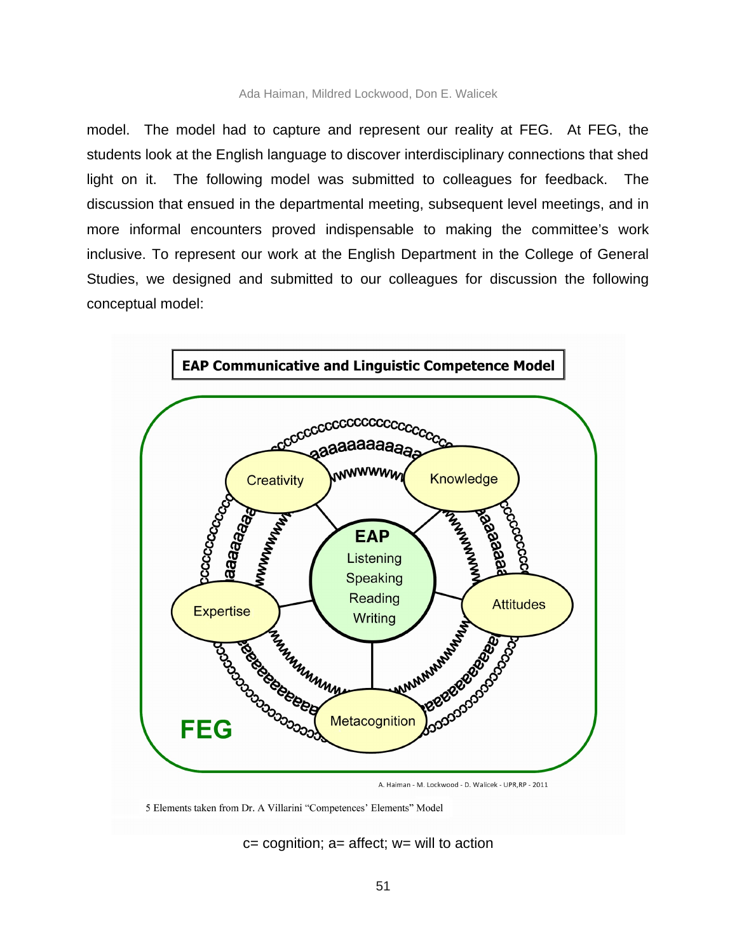model. The model had to capture and represent our reality at FEG. At FEG, the students look at the English language to discover interdisciplinary connections that shed light on it. The following model was submitted to colleagues for feedback. The discussion that ensued in the departmental meeting, subsequent level meetings, and in more informal encounters proved indispensable to making the committee's work inclusive. To represent our work at the English Department in the College of General Studies, we designed and submitted to our colleagues for discussion the following conceptual model:



5 Elements taken from Dr. A Villarini "Competences' Elements" Model

 $c =$  cognition;  $a =$  affect;  $w =$  will to action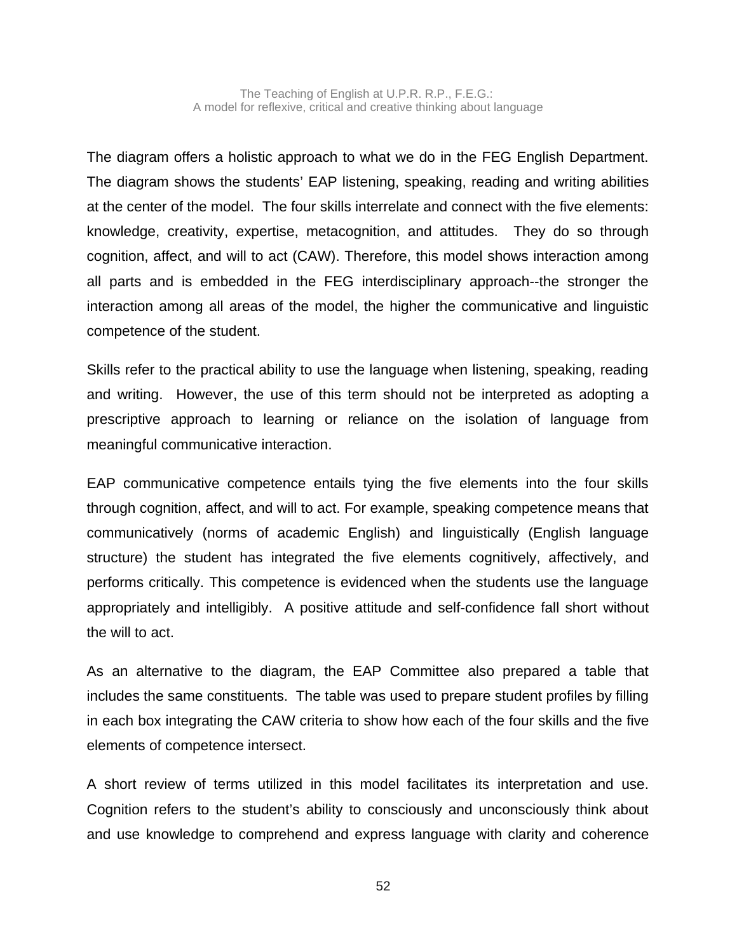The diagram offers a holistic approach to what we do in the FEG English Department. The diagram shows the students' EAP listening, speaking, reading and writing abilities at the center of the model. The four skills interrelate and connect with the five elements: knowledge, creativity, expertise, metacognition, and attitudes. They do so through cognition, affect, and will to act (CAW). Therefore, this model shows interaction among all parts and is embedded in the FEG interdisciplinary approach--the stronger the interaction among all areas of the model, the higher the communicative and linguistic competence of the student.

Skills refer to the practical ability to use the language when listening, speaking, reading and writing. However, the use of this term should not be interpreted as adopting a prescriptive approach to learning or reliance on the isolation of language from meaningful communicative interaction.

EAP communicative competence entails tying the five elements into the four skills through cognition, affect, and will to act. For example, speaking competence means that communicatively (norms of academic English) and linguistically (English language structure) the student has integrated the five elements cognitively, affectively, and performs critically. This competence is evidenced when the students use the language appropriately and intelligibly. A positive attitude and self-confidence fall short without the will to act.

As an alternative to the diagram, the EAP Committee also prepared a table that includes the same constituents. The table was used to prepare student profiles by filling in each box integrating the CAW criteria to show how each of the four skills and the five elements of competence intersect.

A short review of terms utilized in this model facilitates its interpretation and use. Cognition refers to the student's ability to consciously and unconsciously think about and use knowledge to comprehend and express language with clarity and coherence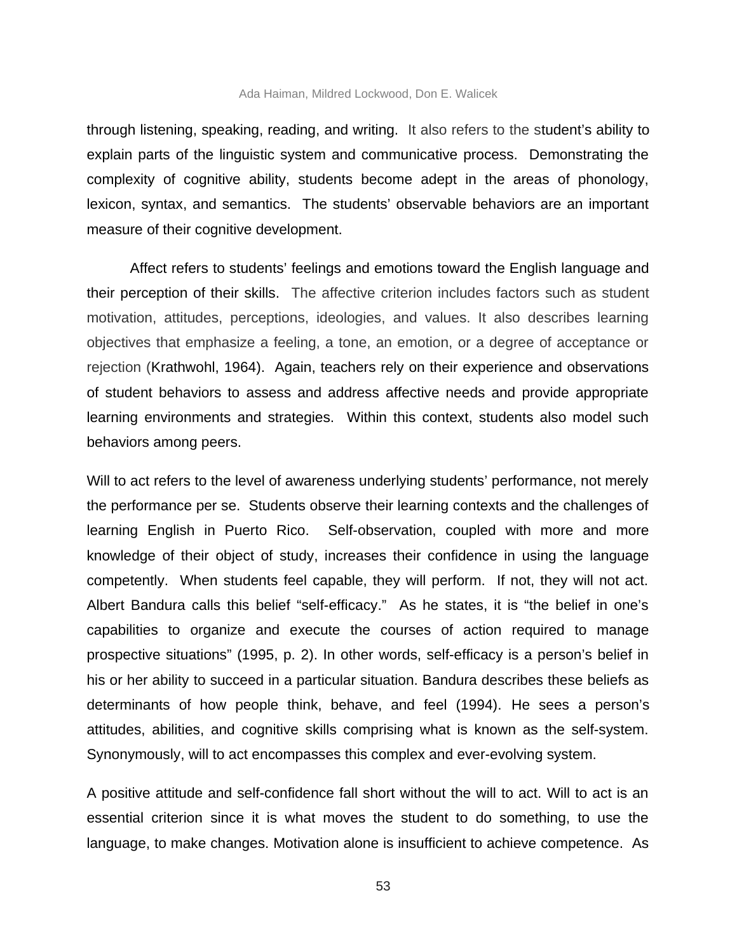through listening, speaking, reading, and writing. It also refers to the student's ability to explain parts of the linguistic system and communicative process. Demonstrating the complexity of cognitive ability, students become adept in the areas of phonology, lexicon, syntax, and semantics. The students' observable behaviors are an important measure of their cognitive development.

Affect refers to students' feelings and emotions toward the English language and their perception of their skills. The affective criterion includes factors such as student motivation, attitudes, perceptions, ideologies, and values. It also describes learning objectives that emphasize a feeling, a tone, an emotion, or a degree of acceptance or rejection (Krathwohl, 1964). Again, teachers rely on their experience and observations of student behaviors to assess and address affective needs and provide appropriate learning environments and strategies. Within this context, students also model such behaviors among peers.

Will to act refers to the level of awareness underlying students' performance, not merely the performance per se. Students observe their learning contexts and the challenges of learning English in Puerto Rico. Self-observation, coupled with more and more knowledge of their object of study, increases their confidence in using the language competently. When students feel capable, they will perform. If not, they will not act. Albert Bandura calls this belief "self-efficacy." As he states, it is "the belief in one's capabilities to organize and execute the courses of action required to manage prospective situations" (1995, p. 2). In other words, self-efficacy is a person's belief in his or her ability to succeed in a particular situation. Bandura describes these beliefs as determinants of how people think, behave, and feel (1994). He sees a person's attitudes, abilities, and cognitive skills comprising what is known as the self-system. Synonymously, will to act encompasses this complex and ever-evolving system.

A positive attitude and self-confidence fall short without the will to act. Will to act is an essential criterion since it is what moves the student to do something, to use the language, to make changes. Motivation alone is insufficient to achieve competence. As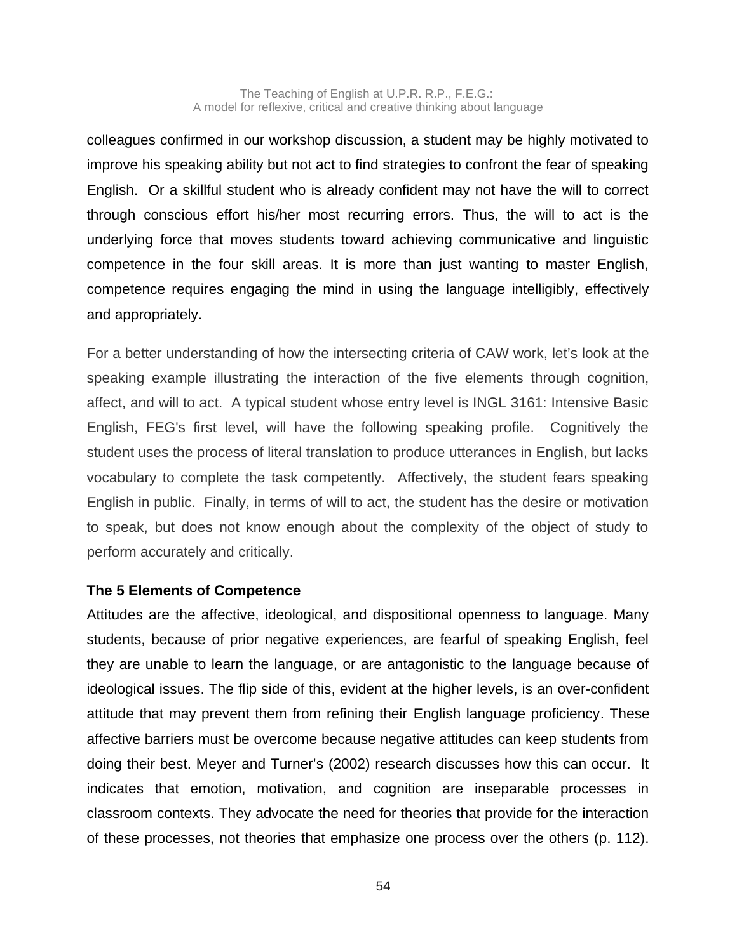colleagues confirmed in our workshop discussion, a student may be highly motivated to improve his speaking ability but not act to find strategies to confront the fear of speaking English. Or a skillful student who is already confident may not have the will to correct through conscious effort his/her most recurring errors. Thus, the will to act is the underlying force that moves students toward achieving communicative and linguistic competence in the four skill areas. It is more than just wanting to master English, competence requires engaging the mind in using the language intelligibly, effectively and appropriately.

For a better understanding of how the intersecting criteria of CAW work, let's look at the speaking example illustrating the interaction of the five elements through cognition, affect, and will to act. A typical student whose entry level is INGL 3161: Intensive Basic English, FEG's first level, will have the following speaking profile. Cognitively the student uses the process of literal translation to produce utterances in English, but lacks vocabulary to complete the task competently. Affectively, the student fears speaking English in public. Finally, in terms of will to act, the student has the desire or motivation to speak, but does not know enough about the complexity of the object of study to perform accurately and critically.

# **The 5 Elements of Competence**

Attitudes are the affective, ideological, and dispositional openness to language. Many students, because of prior negative experiences, are fearful of speaking English, feel they are unable to learn the language, or are antagonistic to the language because of ideological issues. The flip side of this, evident at the higher levels, is an over-confident attitude that may prevent them from refining their English language proficiency. These affective barriers must be overcome because negative attitudes can keep students from doing their best. Meyer and Turner's (2002) research discusses how this can occur. It indicates that emotion, motivation, and cognition are inseparable processes in classroom contexts. They advocate the need for theories that provide for the interaction of these processes, not theories that emphasize one process over the others (p. 112).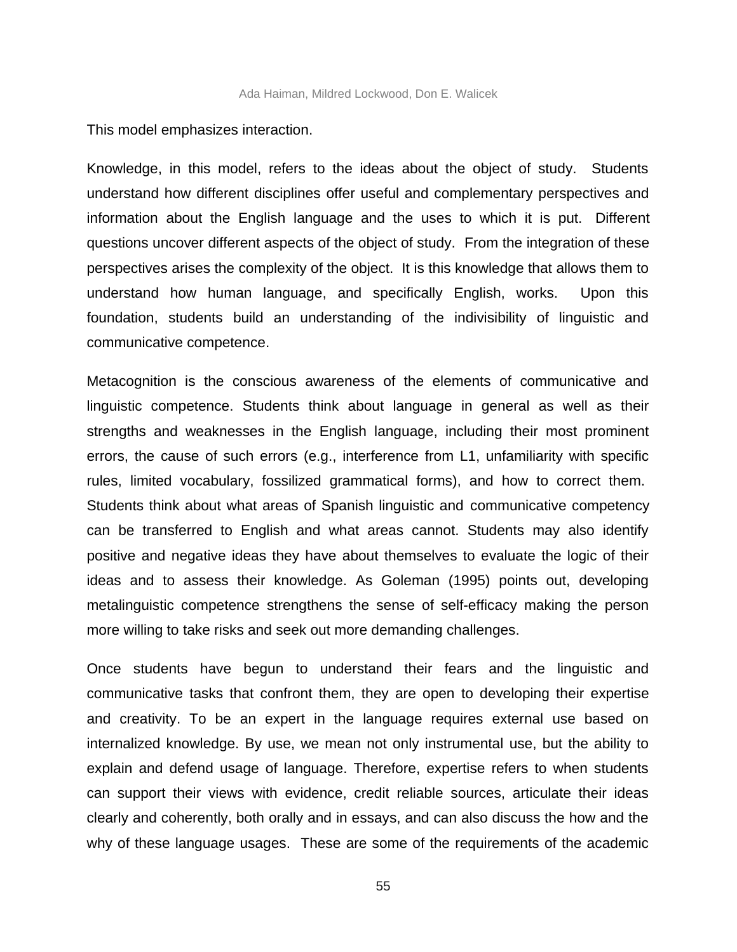This model emphasizes interaction.

Knowledge, in this model, refers to the ideas about the object of study. Students understand how different disciplines offer useful and complementary perspectives and information about the English language and the uses to which it is put. Different questions uncover different aspects of the object of study. From the integration of these perspectives arises the complexity of the object. It is this knowledge that allows them to understand how human language, and specifically English, works. Upon this foundation, students build an understanding of the indivisibility of linguistic and communicative competence.

Metacognition is the conscious awareness of the elements of communicative and linguistic competence. Students think about language in general as well as their strengths and weaknesses in the English language, including their most prominent errors, the cause of such errors (e.g., interference from L1, unfamiliarity with specific rules, limited vocabulary, fossilized grammatical forms), and how to correct them. Students think about what areas of Spanish linguistic and communicative competency can be transferred to English and what areas cannot. Students may also identify positive and negative ideas they have about themselves to evaluate the logic of their ideas and to assess their knowledge. As Goleman (1995) points out, developing metalinguistic competence strengthens the sense of self-efficacy making the person more willing to take risks and seek out more demanding challenges.

Once students have begun to understand their fears and the linguistic and communicative tasks that confront them, they are open to developing their expertise and creativity. To be an expert in the language requires external use based on internalized knowledge. By use, we mean not only instrumental use, but the ability to explain and defend usage of language. Therefore, expertise refers to when students can support their views with evidence, credit reliable sources, articulate their ideas clearly and coherently, both orally and in essays, and can also discuss the how and the why of these language usages. These are some of the requirements of the academic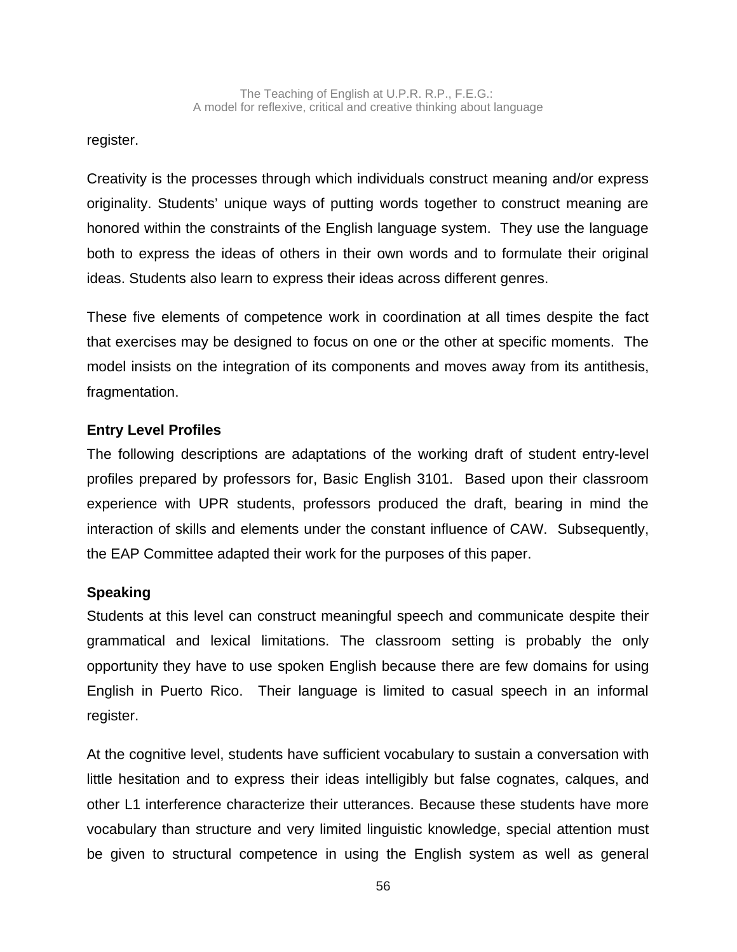register.

Creativity is the processes through which individuals construct meaning and/or express originality. Students' unique ways of putting words together to construct meaning are honored within the constraints of the English language system. They use the language both to express the ideas of others in their own words and to formulate their original ideas. Students also learn to express their ideas across different genres.

These five elements of competence work in coordination at all times despite the fact that exercises may be designed to focus on one or the other at specific moments. The model insists on the integration of its components and moves away from its antithesis, fragmentation.

# **Entry Level Profiles**

The following descriptions are adaptations of the working draft of student entry-level profiles prepared by professors for, Basic English 3101. Based upon their classroom experience with UPR students, professors produced the draft, bearing in mind the interaction of skills and elements under the constant influence of CAW. Subsequently, the EAP Committee adapted their work for the purposes of this paper.

# **Speaking**

Students at this level can construct meaningful speech and communicate despite their grammatical and lexical limitations. The classroom setting is probably the only opportunity they have to use spoken English because there are few domains for using English in Puerto Rico. Their language is limited to casual speech in an informal register.

At the cognitive level, students have sufficient vocabulary to sustain a conversation with little hesitation and to express their ideas intelligibly but false cognates, calques, and other L1 interference characterize their utterances. Because these students have more vocabulary than structure and very limited linguistic knowledge, special attention must be given to structural competence in using the English system as well as general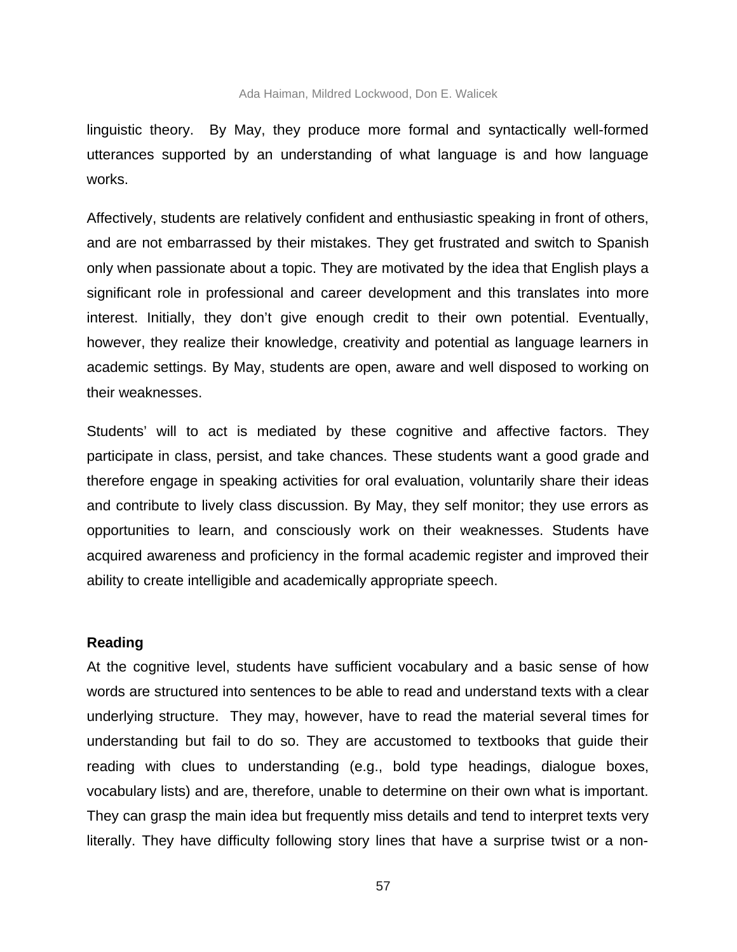linguistic theory. By May, they produce more formal and syntactically well-formed utterances supported by an understanding of what language is and how language works.

Affectively, students are relatively confident and enthusiastic speaking in front of others, and are not embarrassed by their mistakes. They get frustrated and switch to Spanish only when passionate about a topic. They are motivated by the idea that English plays a significant role in professional and career development and this translates into more interest. Initially, they don't give enough credit to their own potential. Eventually, however, they realize their knowledge, creativity and potential as language learners in academic settings. By May, students are open, aware and well disposed to working on their weaknesses.

Students' will to act is mediated by these cognitive and affective factors. They participate in class, persist, and take chances. These students want a good grade and therefore engage in speaking activities for oral evaluation, voluntarily share their ideas and contribute to lively class discussion. By May, they self monitor; they use errors as opportunities to learn, and consciously work on their weaknesses. Students have acquired awareness and proficiency in the formal academic register and improved their ability to create intelligible and academically appropriate speech.

### **Reading**

At the cognitive level, students have sufficient vocabulary and a basic sense of how words are structured into sentences to be able to read and understand texts with a clear underlying structure. They may, however, have to read the material several times for understanding but fail to do so. They are accustomed to textbooks that guide their reading with clues to understanding (e.g., bold type headings, dialogue boxes, vocabulary lists) and are, therefore, unable to determine on their own what is important. They can grasp the main idea but frequently miss details and tend to interpret texts very literally. They have difficulty following story lines that have a surprise twist or a non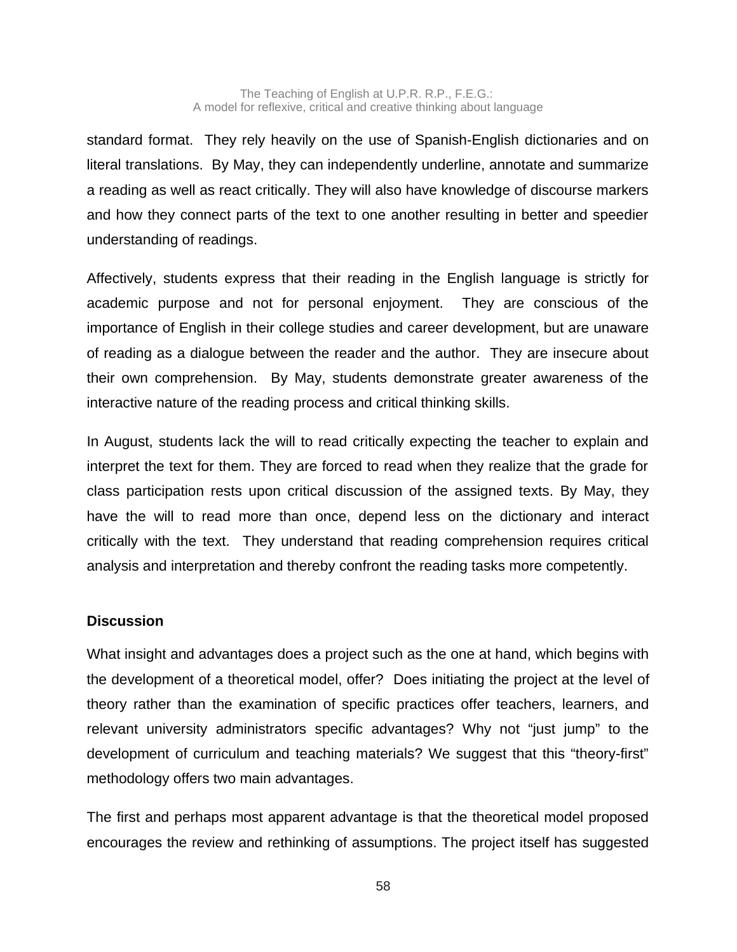standard format. They rely heavily on the use of Spanish-English dictionaries and on literal translations. By May, they can independently underline, annotate and summarize a reading as well as react critically. They will also have knowledge of discourse markers and how they connect parts of the text to one another resulting in better and speedier understanding of readings.

Affectively, students express that their reading in the English language is strictly for academic purpose and not for personal enjoyment. They are conscious of the importance of English in their college studies and career development, but are unaware of reading as a dialogue between the reader and the author. They are insecure about their own comprehension. By May, students demonstrate greater awareness of the interactive nature of the reading process and critical thinking skills.

In August, students lack the will to read critically expecting the teacher to explain and interpret the text for them. They are forced to read when they realize that the grade for class participation rests upon critical discussion of the assigned texts. By May, they have the will to read more than once, depend less on the dictionary and interact critically with the text. They understand that reading comprehension requires critical analysis and interpretation and thereby confront the reading tasks more competently.

# **Discussion**

What insight and advantages does a project such as the one at hand, which begins with the development of a theoretical model, offer?Does initiating the project at the level of theory rather than the examination of specific practices offer teachers, learners, and relevant university administrators specific advantages? Why not "just jump" to the development of curriculum and teaching materials? We suggest that this "theory-first" methodology offers two main advantages.

The first and perhaps most apparent advantage is that the theoretical model proposed encourages the review and rethinking of assumptions. The project itself has suggested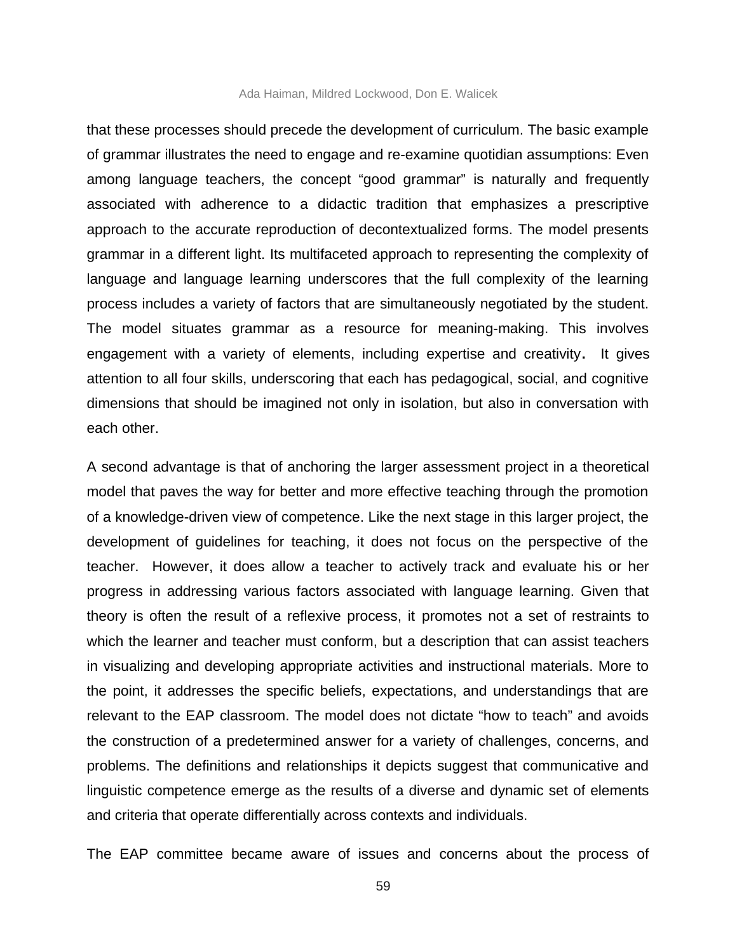#### Ada Haiman, Mildred Lockwood, Don E. Walicek

that these processes should precede the development of curriculum. The basic example of grammar illustrates the need to engage and re-examine quotidian assumptions: Even among language teachers, the concept "good grammar" is naturally and frequently associated with adherence to a didactic tradition that emphasizes a prescriptive approach to the accurate reproduction of decontextualized forms. The model presents grammar in a different light. Its multifaceted approach to representing the complexity of language and language learning underscores that the full complexity of the learning process includes a variety of factors that are simultaneously negotiated by the student. The model situates grammar as a resource for meaning-making. This involves engagement with a variety of elements, including expertise and creativity**.** It gives attention to all four skills, underscoring that each has pedagogical, social, and cognitive dimensions that should be imagined not only in isolation, but also in conversation with each other.

A second advantage is that of anchoring the larger assessment project in a theoretical model that paves the way for better and more effective teaching through the promotion of a knowledge-driven view of competence. Like the next stage in this larger project, the development of guidelines for teaching, it does not focus on the perspective of the teacher. However, it does allow a teacher to actively track and evaluate his or her progress in addressing various factors associated with language learning. Given that theory is often the result of a reflexive process, it promotes not a set of restraints to which the learner and teacher must conform, but a description that can assist teachers in visualizing and developing appropriate activities and instructional materials. More to the point, it addresses the specific beliefs, expectations, and understandings that are relevant to the EAP classroom. The model does not dictate "how to teach" and avoids the construction of a predetermined answer for a variety of challenges, concerns, and problems. The definitions and relationships it depicts suggest that communicative and linguistic competence emerge as the results of a diverse and dynamic set of elements and criteria that operate differentially across contexts and individuals.

The EAP committee became aware of issues and concerns about the process of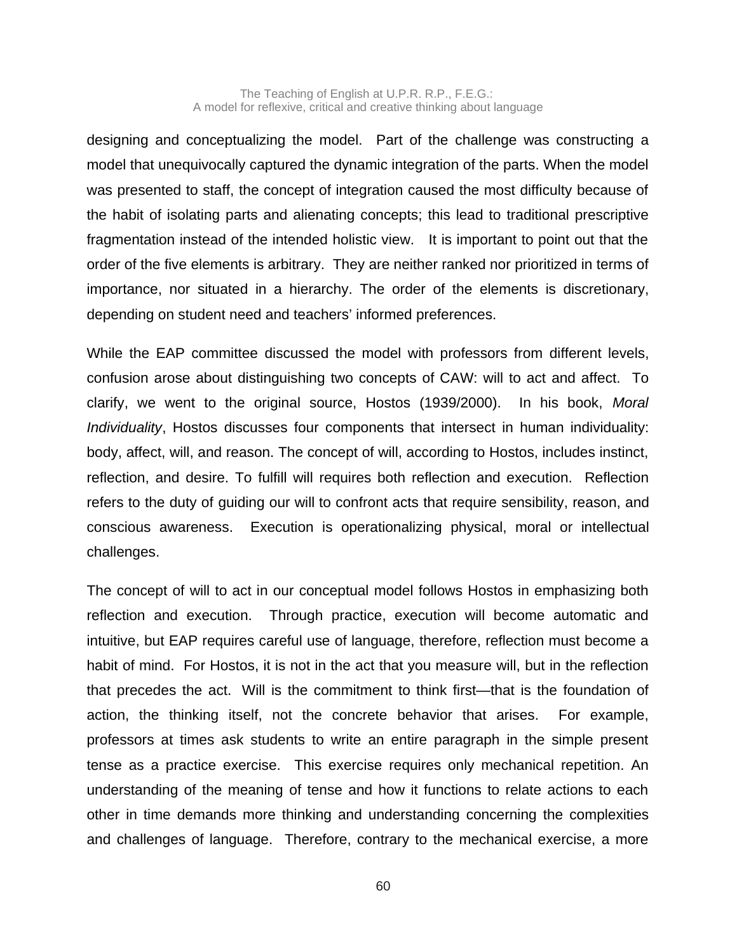designing and conceptualizing the model. Part of the challenge was constructing a model that unequivocally captured the dynamic integration of the parts. When the model was presented to staff, the concept of integration caused the most difficulty because of the habit of isolating parts and alienating concepts; this lead to traditional prescriptive fragmentation instead of the intended holistic view. It is important to point out that the order of the five elements is arbitrary. They are neither ranked nor prioritized in terms of importance, nor situated in a hierarchy. The order of the elements is discretionary, depending on student need and teachers' informed preferences.

While the EAP committee discussed the model with professors from different levels, confusion arose about distinguishing two concepts of CAW: will to act and affect. To clarify, we went to the original source, Hostos (1939/2000). In his book, *Moral Individuality*, Hostos discusses four components that intersect in human individuality: body, affect, will, and reason. The concept of will, according to Hostos, includes instinct, reflection, and desire. To fulfill will requires both reflection and execution. Reflection refers to the duty of guiding our will to confront acts that require sensibility, reason, and conscious awareness. Execution is operationalizing physical, moral or intellectual challenges.

The concept of will to act in our conceptual model follows Hostos in emphasizing both reflection and execution. Through practice, execution will become automatic and intuitive, but EAP requires careful use of language, therefore, reflection must become a habit of mind. For Hostos, it is not in the act that you measure will, but in the reflection that precedes the act. Will is the commitment to think first—that is the foundation of action, the thinking itself, not the concrete behavior that arises. For example, professors at times ask students to write an entire paragraph in the simple present tense as a practice exercise. This exercise requires only mechanical repetition. An understanding of the meaning of tense and how it functions to relate actions to each other in time demands more thinking and understanding concerning the complexities and challenges of language. Therefore, contrary to the mechanical exercise, a more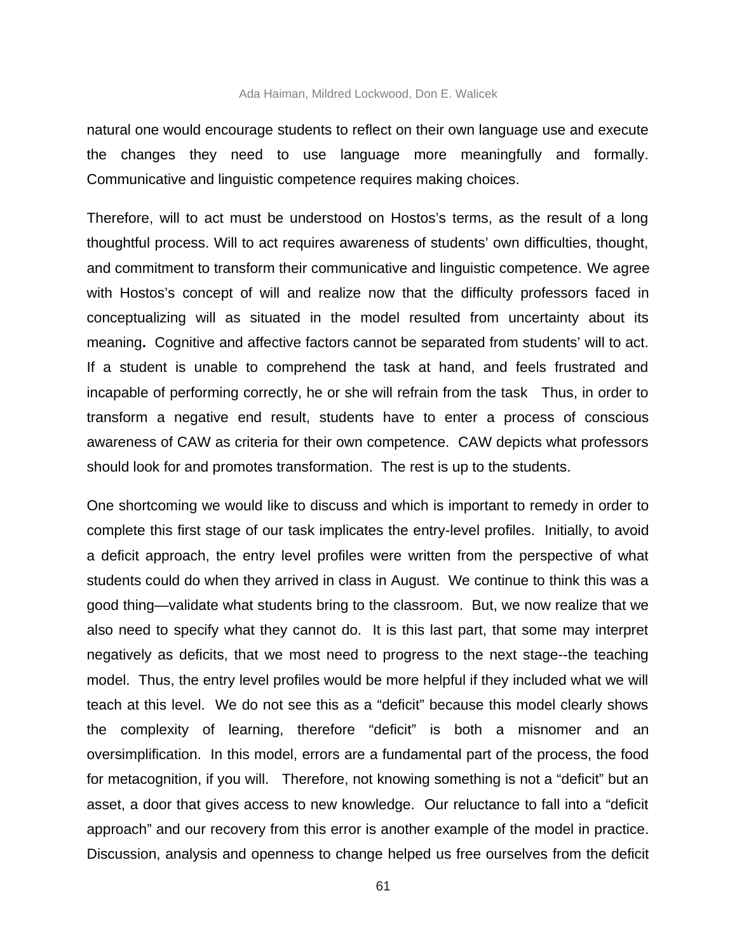natural one would encourage students to reflect on their own language use and execute the changes they need to use language more meaningfully and formally. Communicative and linguistic competence requires making choices.

Therefore, will to act must be understood on Hostos's terms, as the result of a long thoughtful process. Will to act requires awareness of students' own difficulties, thought, and commitment to transform their communicative and linguistic competence. We agree with Hostos's concept of will and realize now that the difficulty professors faced in conceptualizing will as situated in the model resulted from uncertainty about its meaning**.** Cognitive and affective factors cannot be separated from students' will to act. If a student is unable to comprehend the task at hand, and feels frustrated and incapable of performing correctly, he or she will refrain from the task Thus, in order to transform a negative end result, students have to enter a process of conscious awareness of CAW as criteria for their own competence. CAW depicts what professors should look for and promotes transformation. The rest is up to the students.

One shortcoming we would like to discuss and which is important to remedy in order to complete this first stage of our task implicates the entry-level profiles. Initially, to avoid a deficit approach, the entry level profiles were written from the perspective of what students could do when they arrived in class in August. We continue to think this was a good thing—validate what students bring to the classroom. But, we now realize that we also need to specify what they cannot do. It is this last part, that some may interpret negatively as deficits, that we most need to progress to the next stage--the teaching model. Thus, the entry level profiles would be more helpful if they included what we will teach at this level. We do not see this as a "deficit" because this model clearly shows the complexity of learning, therefore "deficit" is both a misnomer and an oversimplification. In this model, errors are a fundamental part of the process, the food for metacognition, if you will. Therefore, not knowing something is not a "deficit" but an asset, a door that gives access to new knowledge. Our reluctance to fall into a "deficit approach" and our recovery from this error is another example of the model in practice. Discussion, analysis and openness to change helped us free ourselves from the deficit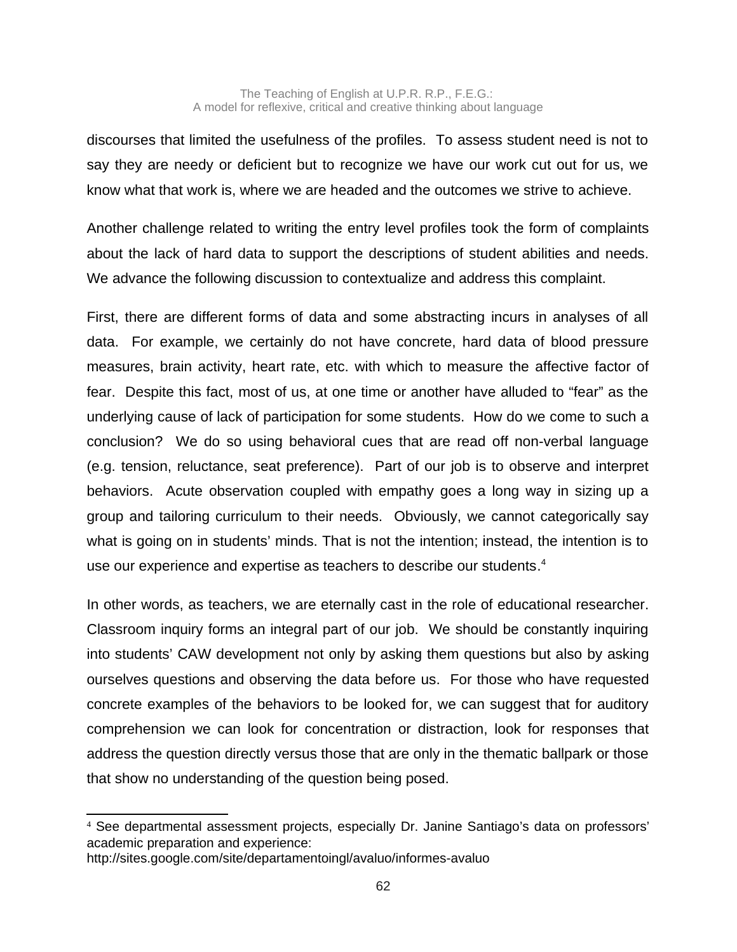discourses that limited the usefulness of the profiles. To assess student need is not to say they are needy or deficient but to recognize we have our work cut out for us, we know what that work is, where we are headed and the outcomes we strive to achieve.

Another challenge related to writing the entry level profiles took the form of complaints about the lack of hard data to support the descriptions of student abilities and needs. We advance the following discussion to contextualize and address this complaint.

First, there are different forms of data and some abstracting incurs in analyses of all data. For example, we certainly do not have concrete, hard data of blood pressure measures, brain activity, heart rate, etc. with which to measure the affective factor of fear. Despite this fact, most of us, at one time or another have alluded to "fear" as the underlying cause of lack of participation for some students. How do we come to such a conclusion? We do so using behavioral cues that are read off non-verbal language (e.g. tension, reluctance, seat preference). Part of our job is to observe and interpret behaviors. Acute observation coupled with empathy goes a long way in sizing up a group and tailoring curriculum to their needs. Obviously, we cannot categorically say what is going on in students' minds. That is not the intention; instead, the intention is to use our experience and expertise as teachers to describe our students. [4](#page-23-0)

In other words, as teachers, we are eternally cast in the role of educational researcher. Classroom inquiry forms an integral part of our job. We should be constantly inquiring into students' CAW development not only by asking them questions but also by asking ourselves questions and observing the data before us. For those who have requested concrete examples of the behaviors to be looked for, we can suggest that for auditory comprehension we can look for concentration or distraction, look for responses that address the question directly versus those that are only in the thematic ballpark or those that show no understanding of the question being posed.

<span id="page-23-0"></span><sup>4</sup> See departmental assessment projects, especially Dr. Janine Santiago's data on professors' academic preparation and experience:

http://sites.google.com/site/departamentoingl/avaluo/informes-avaluo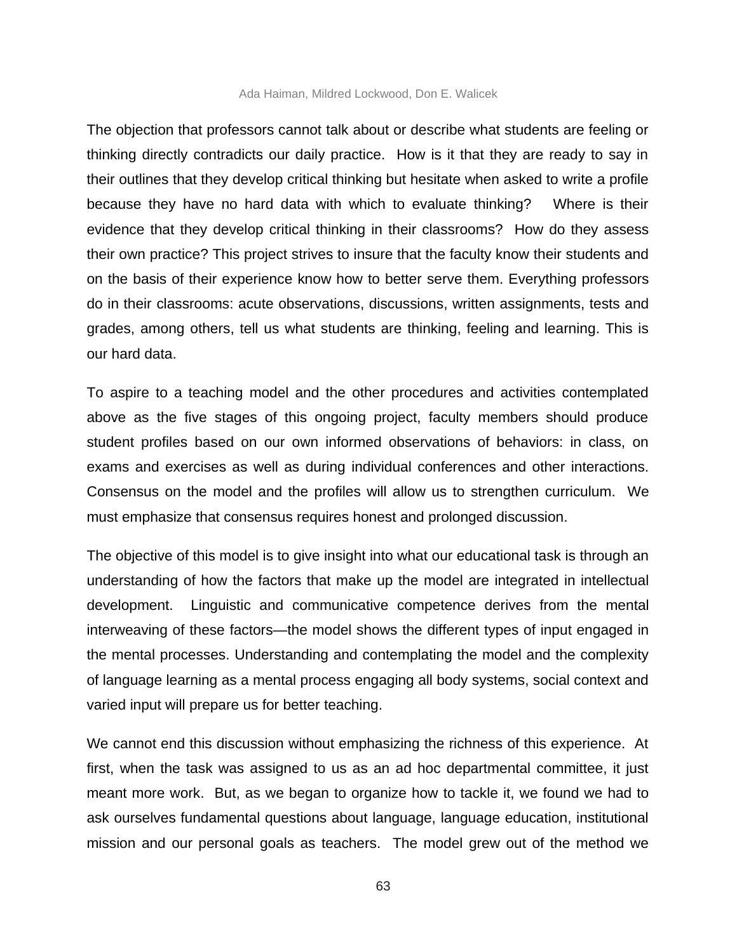#### Ada Haiman, Mildred Lockwood, Don E. Walicek

The objection that professors cannot talk about or describe what students are feeling or thinking directly contradicts our daily practice. How is it that they are ready to say in their outlines that they develop critical thinking but hesitate when asked to write a profile because they have no hard data with which to evaluate thinking? Where is their evidence that they develop critical thinking in their classrooms? How do they assess their own practice? This project strives to insure that the faculty know their students and on the basis of their experience know how to better serve them. Everything professors do in their classrooms: acute observations, discussions, written assignments, tests and grades, among others, tell us what students are thinking, feeling and learning. This is our hard data.

To aspire to a teaching model and the other procedures and activities contemplated above as the five stages of this ongoing project, faculty members should produce student profiles based on our own informed observations of behaviors: in class, on exams and exercises as well as during individual conferences and other interactions. Consensus on the model and the profiles will allow us to strengthen curriculum. We must emphasize that consensus requires honest and prolonged discussion.

The objective of this model is to give insight into what our educational task is through an understanding of how the factors that make up the model are integrated in intellectual development. Linguistic and communicative competence derives from the mental interweaving of these factors—the model shows the different types of input engaged in the mental processes. Understanding and contemplating the model and the complexity of language learning as a mental process engaging all body systems, social context and varied input will prepare us for better teaching.

We cannot end this discussion without emphasizing the richness of this experience. At first, when the task was assigned to us as an ad hoc departmental committee, it just meant more work. But, as we began to organize how to tackle it, we found we had to ask ourselves fundamental questions about language, language education, institutional mission and our personal goals as teachers. The model grew out of the method we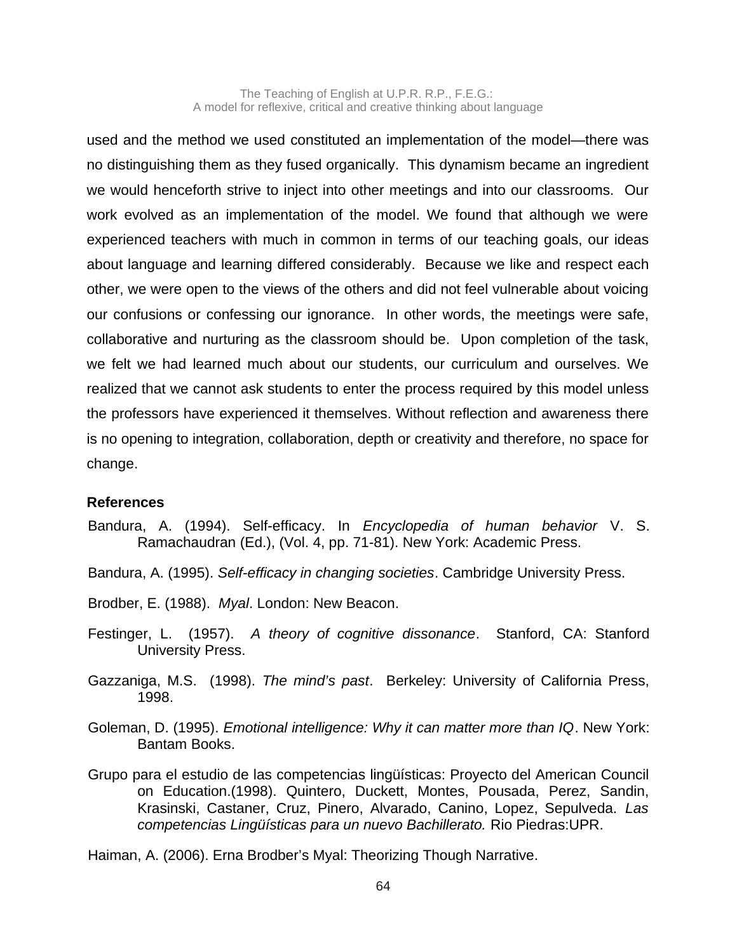The Teaching of English at U.P.R. R.P., F.E.G.: A model for reflexive, critical and creative thinking about language

used and the method we used constituted an implementation of the model—there was no distinguishing them as they fused organically. This dynamism became an ingredient we would henceforth strive to inject into other meetings and into our classrooms. Our work evolved as an implementation of the model. We found that although we were experienced teachers with much in common in terms of our teaching goals, our ideas about language and learning differed considerably. Because we like and respect each other, we were open to the views of the others and did not feel vulnerable about voicing our confusions or confessing our ignorance. In other words, the meetings were safe, collaborative and nurturing as the classroom should be. Upon completion of the task, we felt we had learned much about our students, our curriculum and ourselves. We realized that we cannot ask students to enter the process required by this model unless the professors have experienced it themselves. Without reflection and awareness there is no opening to integration, collaboration, depth or creativity and therefore, no space for change.

#### **References**

- Bandura, A. (1994). Self-efficacy. In *Encyclopedia of human behavior* V. S. Ramachaudran (Ed.), (Vol. 4, pp. 71-81). New York: Academic Press.
- Bandura, A. (1995). *Self-efficacy in changing societies*. Cambridge University Press.
- Brodber, E. (1988). *Myal*. London: New Beacon.
- Festinger, L. (1957). *A theory of cognitive dissonance*. Stanford, CA: Stanford University Press.
- Gazzaniga, M.S. (1998). *The mind's past*. Berkeley: University of California Press, 1998.
- Goleman, D. (1995). *Emotional intelligence: Why it can matter more than IQ*. New York: Bantam Books.
- Grupo para el estudio de las competencias lingüísticas: Proyecto del American Council on Education.(1998). Quintero, Duckett, Montes, Pousada, Perez, Sandin, Krasinski, Castaner, Cruz, Pinero, Alvarado, Canino, Lopez, Sepulveda. *Las competencias Lingüísticas para un nuevo Bachillerato.* Rio Piedras:UPR.

Haiman, A. (2006). Erna Brodber's Myal: Theorizing Though Narrative.